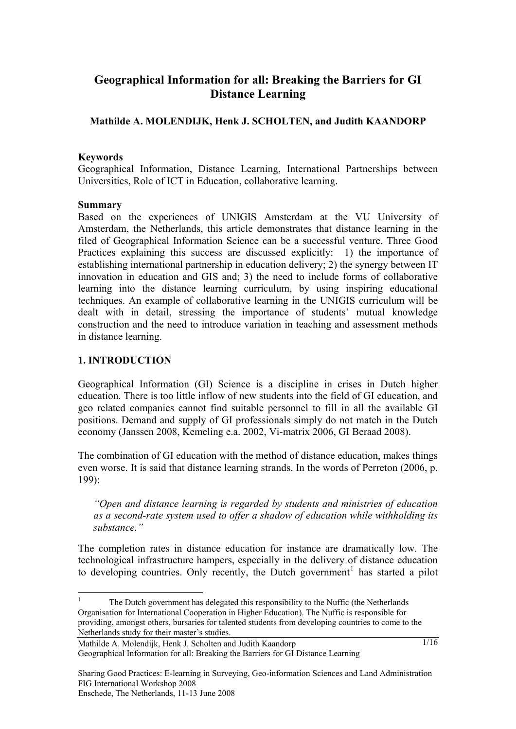# **Geographical Information for all: Breaking the Barriers for GI Distance Learning**

### **Mathilde A. MOLENDIJK, Henk J. SCHOLTEN, and Judith KAANDORP**

#### **Keywords**

Geographical Information, Distance Learning, International Partnerships between Universities, Role of ICT in Education, collaborative learning.

#### **Summary**

Based on the experiences of UNIGIS Amsterdam at the VU University of Amsterdam, the Netherlands, this article demonstrates that distance learning in the filed of Geographical Information Science can be a successful venture. Three Good Practices explaining this success are discussed explicitly: 1) the importance of establishing international partnership in education delivery; 2) the synergy between IT innovation in education and GIS and; 3) the need to include forms of collaborative learning into the distance learning curriculum, by using inspiring educational techniques. An example of collaborative learning in the UNIGIS curriculum will be dealt with in detail, stressing the importance of students' mutual knowledge construction and the need to introduce variation in teaching and assessment methods in distance learning.

### **1. INTRODUCTION**

1

Geographical Information (GI) Science is a discipline in crises in Dutch higher education. There is too little inflow of new students into the field of GI education, and geo related companies cannot find suitable personnel to fill in all the available GI positions. Demand and supply of GI professionals simply do not match in the Dutch economy (Janssen 2008, Kemeling e.a. 2002, Vi-matrix 2006, GI Beraad 2008).

The combination of GI education with the method of distance education, makes things even worse. It is said that distance learning strands. In the words of Perreton (2006, p. 199):

*"Open and distance learning is regarded by students and ministries of education as a second-rate system used to offer a shadow of education while withholding its substance."* 

The completion rates in distance education for instance are dramatically low. The technological infrastructure hampers, especially in the delivery of distance education to developing countries. Only recently, the Dutch government<sup>[1](#page-0-0)</sup> has started a pilot

Mathilde A. Molendijk, Henk J. Scholten and Judith Kaandorp Geographical Information for all: Breaking the Barriers for GI Distance Learning

<span id="page-0-0"></span><sup>1</sup> The Dutch government has delegated this responsibility to the Nuffic (the Netherlands Organisation for International Cooperation in Higher Education). The Nuffic is responsible for providing, amongst others, bursaries for talented students from developing countries to come to the Netherlands study for their master's studies.

Sharing Good Practices: E-learning in Surveying, Geo-information Sciences and Land Administration FIG International Workshop 2008 Enschede, The Netherlands, 11-13 June 2008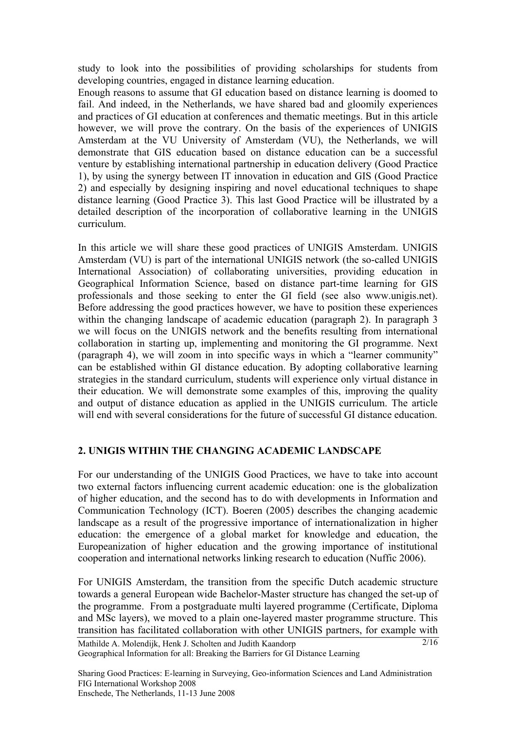study to look into the possibilities of providing scholarships for students from developing countries, engaged in distance learning education.

Enough reasons to assume that GI education based on distance learning is doomed to fail. And indeed, in the Netherlands, we have shared bad and gloomily experiences and practices of GI education at conferences and thematic meetings. But in this article however, we will prove the contrary. On the basis of the experiences of UNIGIS Amsterdam at the VU University of Amsterdam (VU), the Netherlands, we will demonstrate that GIS education based on distance education can be a successful venture by establishing international partnership in education delivery (Good Practice 1), by using the synergy between IT innovation in education and GIS (Good Practice 2) and especially by designing inspiring and novel educational techniques to shape distance learning (Good Practice 3). This last Good Practice will be illustrated by a detailed description of the incorporation of collaborative learning in the UNIGIS curriculum.

In this article we will share these good practices of UNIGIS Amsterdam. UNIGIS Amsterdam (VU) is part of the international UNIGIS network (the so-called UNIGIS International Association) of collaborating universities, providing education in Geographical Information Science, based on distance part-time learning for GIS professionals and those seeking to enter the GI field (see also www.unigis.net). Before addressing the good practices however, we have to position these experiences within the changing landscape of academic education (paragraph 2). In paragraph 3 we will focus on the UNIGIS network and the benefits resulting from international collaboration in starting up, implementing and monitoring the GI programme. Next (paragraph 4), we will zoom in into specific ways in which a "learner community" can be established within GI distance education. By adopting collaborative learning strategies in the standard curriculum, students will experience only virtual distance in their education. We will demonstrate some examples of this, improving the quality and output of distance education as applied in the UNIGIS curriculum. The article will end with several considerations for the future of successful GI distance education.

### **2. UNIGIS WITHIN THE CHANGING ACADEMIC LANDSCAPE**

For our understanding of the UNIGIS Good Practices, we have to take into account two external factors influencing current academic education: one is the globalization of higher education, and the second has to do with developments in Information and Communication Technology (ICT). Boeren (2005) describes the changing academic landscape as a result of the progressive importance of internationalization in higher education: the emergence of a global market for knowledge and education, the Europeanization of higher education and the growing importance of institutional cooperation and international networks linking research to education (Nuffic 2006).

Mathilde A. Molendijk, Henk J. Scholten and Judith Kaandorp Geographical Information for all: Breaking the Barriers for GI Distance Learning  $2/16$ For UNIGIS Amsterdam, the transition from the specific Dutch academic structure towards a general European wide Bachelor-Master structure has changed the set-up of the programme. From a postgraduate multi layered programme (Certificate, Diploma and MSc layers), we moved to a plain one-layered master programme structure. This transition has facilitated collaboration with other UNIGIS partners, for example with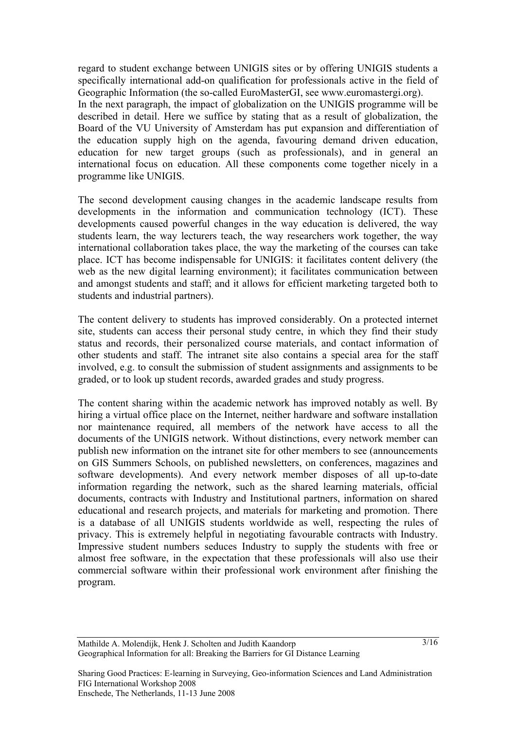regard to student exchange between UNIGIS sites or by offering UNIGIS students a specifically international add-on qualification for professionals active in the field of Geographic Information (the so-called EuroMasterGI, see www.euromastergi.org). In the next paragraph, the impact of globalization on the UNIGIS programme will be described in detail. Here we suffice by stating that as a result of globalization, the Board of the VU University of Amsterdam has put expansion and differentiation of the education supply high on the agenda, favouring demand driven education, education for new target groups (such as professionals), and in general an international focus on education. All these components come together nicely in a programme like UNIGIS.

The second development causing changes in the academic landscape results from developments in the information and communication technology (ICT). These developments caused powerful changes in the way education is delivered, the way students learn, the way lecturers teach, the way researchers work together, the way international collaboration takes place, the way the marketing of the courses can take place. ICT has become indispensable for UNIGIS: it facilitates content delivery (the web as the new digital learning environment); it facilitates communication between and amongst students and staff; and it allows for efficient marketing targeted both to students and industrial partners).

The content delivery to students has improved considerably. On a protected internet site, students can access their personal study centre, in which they find their study status and records, their personalized course materials, and contact information of other students and staff. The intranet site also contains a special area for the staff involved, e.g. to consult the submission of student assignments and assignments to be graded, or to look up student records, awarded grades and study progress.

The content sharing within the academic network has improved notably as well. By hiring a virtual office place on the Internet, neither hardware and software installation nor maintenance required, all members of the network have access to all the documents of the UNIGIS network. Without distinctions, every network member can publish new information on the intranet site for other members to see (announcements on GIS Summers Schools, on published newsletters, on conferences, magazines and software developments). And every network member disposes of all up-to-date information regarding the network, such as the shared learning materials, official documents, contracts with Industry and Institutional partners, information on shared educational and research projects, and materials for marketing and promotion. There is a database of all UNIGIS students worldwide as well, respecting the rules of privacy. This is extremely helpful in negotiating favourable contracts with Industry. Impressive student numbers seduces Industry to supply the students with free or almost free software, in the expectation that these professionals will also use their commercial software within their professional work environment after finishing the program.

Sharing Good Practices: E-learning in Surveying, Geo-information Sciences and Land Administration FIG International Workshop 2008 Enschede, The Netherlands, 11-13 June 2008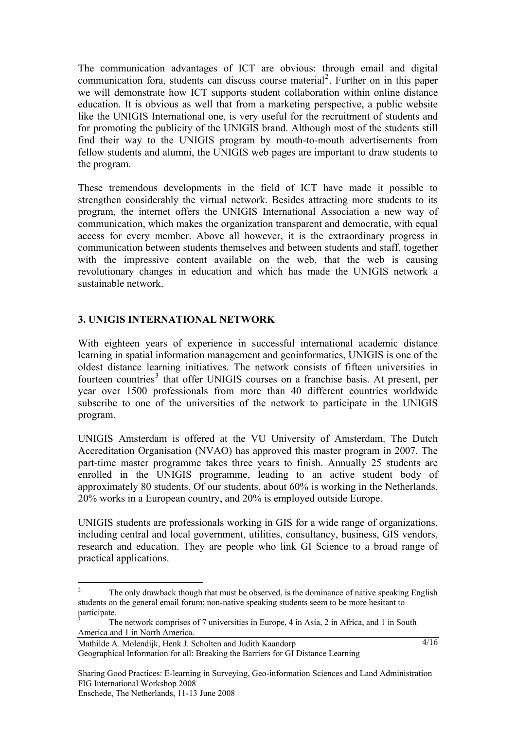The communication advantages of ICT are obvious: through email and digital communication fora, students can discuss course material<sup>[2](#page-3-0)</sup>. Further on in this paper we will demonstrate how ICT supports student collaboration within online distance education. It is obvious as well that from a marketing perspective, a public website like the UNIGIS International one, is very useful for the recruitment of students and for promoting the publicity of the UNIGIS brand. Although most of the students still find their way to the UNIGIS program by mouth-to-mouth advertisements from fellow students and alumni, the UNIGIS web pages are important to draw students to the program.

These tremendous developments in the field of ICT have made it possible to strengthen considerably the virtual network. Besides attracting more students to its program, the internet offers the UNIGIS International Association a new way of communication, which makes the organization transparent and democratic, with equal access for every member. Above all however, it is the extraordinary progress in communication between students themselves and between students and staff, together with the impressive content available on the web, that the web is causing revolutionary changes in education and which has made the UNIGIS network a sustainable network.

### **3. UNIGIS INTERNATIONAL NETWORK**

With eighteen years of experience in successful international academic distance learning in spatial information management and geoinformatics, UNIGIS is one of the oldest distance learning initiatives. The network consists of fifteen universities in fourteen countries<sup>[3](#page-3-1)</sup> that offer UNIGIS courses on a franchise basis. At present, per year over 1500 professionals from more than 40 different countries worldwide subscribe to one of the universities of the network to participate in the UNIGIS program.

UNIGIS Amsterdam is offered at the VU University of Amsterdam. The Dutch Accreditation Organisation (NVAO) has approved this master program in 2007. The part-time master programme takes three years to finish. Annually 25 students are enrolled in the UNIGIS programme, leading to an active student body of approximately 80 students. Of our students, about 60% is working in the Netherlands, 20% works in a European country, and 20% is employed outside Europe.

UNIGIS students are professionals working in GIS for a wide range of organizations, including central and local government, utilities, consultancy, business, GIS vendors, research and education. They are people who link GI Science to a broad range of practical applications.

Mathilde A. Molendijk, Henk J. Scholten and Judith Kaandorp Geographical Information for all: Breaking the Barriers for GI Distance Learning

<span id="page-3-0"></span> $\frac{1}{2}$  The only drawback though that must be observed, is the dominance of native speaking English students on the general email forum; non-native speaking students seem to be more hesitant to participate.

<span id="page-3-1"></span><sup>3</sup> The network comprises of 7 universities in Europe, 4 in Asia, 2 in Africa, and 1 in South America and 1 in North America.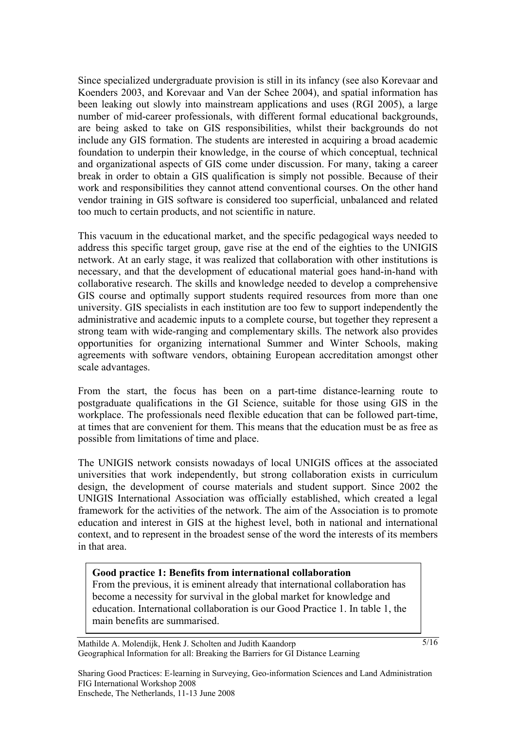Since specialized undergraduate provision is still in its infancy (see also Korevaar and Koenders 2003, and Korevaar and Van der Schee 2004), and spatial information has been leaking out slowly into mainstream applications and uses (RGI 2005), a large number of mid-career professionals, with different formal educational backgrounds, are being asked to take on GIS responsibilities, whilst their backgrounds do not include any GIS formation. The students are interested in acquiring a broad academic foundation to underpin their knowledge, in the course of which conceptual, technical and organizational aspects of GIS come under discussion. For many, taking a career break in order to obtain a GIS qualification is simply not possible. Because of their work and responsibilities they cannot attend conventional courses. On the other hand vendor training in GIS software is considered too superficial, unbalanced and related too much to certain products, and not scientific in nature.

This vacuum in the educational market, and the specific pedagogical ways needed to address this specific target group, gave rise at the end of the eighties to the UNIGIS network. At an early stage, it was realized that collaboration with other institutions is necessary, and that the development of educational material goes hand-in-hand with collaborative research. The skills and knowledge needed to develop a comprehensive GIS course and optimally support students required resources from more than one university. GIS specialists in each institution are too few to support independently the administrative and academic inputs to a complete course, but together they represent a strong team with wide-ranging and complementary skills. The network also provides opportunities for organizing international Summer and Winter Schools, making agreements with software vendors, obtaining European accreditation amongst other scale advantages.

From the start, the focus has been on a part-time distance-learning route to postgraduate qualifications in the GI Science, suitable for those using GIS in the workplace. The professionals need flexible education that can be followed part-time, at times that are convenient for them. This means that the education must be as free as possible from limitations of time and place.

The UNIGIS network consists nowadays of local UNIGIS offices at the associated universities that work independently, but strong collaboration exists in curriculum design, the development of course materials and student support. Since 2002 the UNIGIS International Association was officially established, which created a legal framework for the activities of the network. The aim of the Association is to promote education and interest in GIS at the highest level, both in national and international context, and to represent in the broadest sense of the word the interests of its members in that area.

#### **Good practice 1: Benefits from international collaboration**

From the previous, it is eminent already that international collaboration has become a necessity for survival in the global market for knowledge and education. International collaboration is our Good Practice 1. In table 1, the main benefits are summarised.

5/16

Mathilde A. Molendijk, Henk J. Scholten and Judith Kaandorp Geographical Information for all: Breaking the Barriers for GI Distance Learning

Sharing Good Practices: E-learning in Surveying, Geo-information Sciences and Land Administration FIG International Workshop 2008 Enschede, The Netherlands, 11-13 June 2008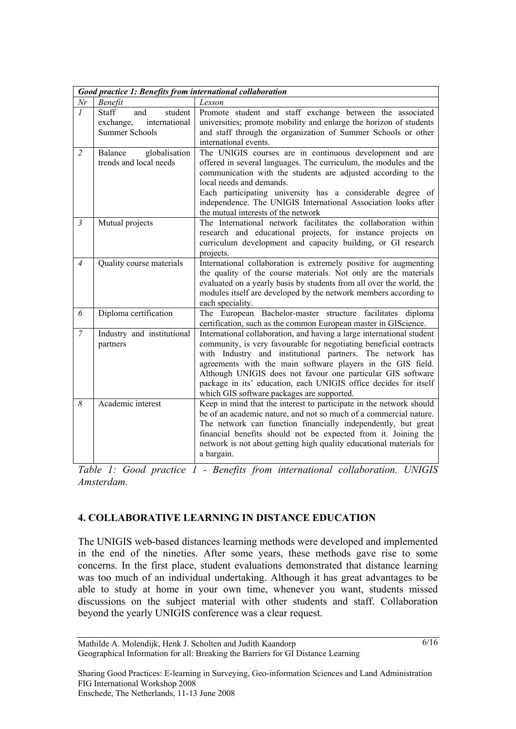| Good practice 1: Benefits from international collaboration |                                                                                |                                                                                                                                                                                                                                                                                                                                                                                                                                                          |
|------------------------------------------------------------|--------------------------------------------------------------------------------|----------------------------------------------------------------------------------------------------------------------------------------------------------------------------------------------------------------------------------------------------------------------------------------------------------------------------------------------------------------------------------------------------------------------------------------------------------|
| Nr                                                         | Benefit                                                                        | Lesson                                                                                                                                                                                                                                                                                                                                                                                                                                                   |
| $\mathcal{I}$                                              | Staff<br>student<br>and<br>international<br>exchange,<br><b>Summer Schools</b> | Promote student and staff exchange between the associated<br>universities; promote mobility and enlarge the horizon of students<br>and staff through the organization of Summer Schools or other<br>international events.                                                                                                                                                                                                                                |
| $\overline{2}$                                             | globalisation<br>Balance<br>trends and local needs                             | The UNIGIS courses are in continuous development and are<br>offered in several languages. The curriculum, the modules and the<br>communication with the students are adjusted according to the<br>local needs and demands.<br>Each participating university has a considerable degree of<br>independence. The UNIGIS International Association looks after<br>the mutual interests of the network                                                        |
| $\mathfrak{Z}$                                             | Mutual projects                                                                | The International network facilitates the collaboration within<br>research and educational projects, for instance projects on<br>curriculum development and capacity building, or GI research<br>projects.                                                                                                                                                                                                                                               |
| $\overline{4}$                                             | Quality course materials                                                       | International collaboration is extremely positive for augmenting<br>the quality of the course materials. Not only are the materials<br>evaluated on a yearly basis by students from all over the world, the<br>modules itself are developed by the network members according to<br>each speciality.                                                                                                                                                      |
| 6                                                          | Diploma certification                                                          | The European Bachelor-master structure facilitates diploma<br>certification, such as the common European master in GIScience.                                                                                                                                                                                                                                                                                                                            |
| $\overline{7}$                                             | Industry and institutional<br>partners                                         | International collaboration, and having a large international student<br>community, is very favourable for negotiating beneficial contracts<br>with Industry and institutional partners. The network has<br>agreements with the main software players in the GIS field.<br>Although UNIGIS does not favour one particular GIS software<br>package in its' education, each UNIGIS office decides for itself<br>which GIS software packages are supported. |
| 8                                                          | Academic interest                                                              | Keep in mind that the interest to participate in the network should<br>be of an academic nature, and not so much of a commercial nature.<br>The network can function financially independently, but great<br>financial benefits should not be expected from it. Joining the<br>network is not about getting high quality educational materials for<br>a bargain.                                                                                         |

*Table 1: Good practice 1 - Benefits from international collaboration. UNIGIS Amsterdam.* 

### **4. COLLABORATIVE LEARNING IN DISTANCE EDUCATION**

The UNIGIS web-based distances learning methods were developed and implemented in the end of the nineties. After some years, these methods gave rise to some concerns. In the first place, student evaluations demonstrated that distance learning was too much of an individual undertaking. Although it has great advantages to be able to study at home in your own time, whenever you want, students missed discussions on the subject material with other students and staff. Collaboration beyond the yearly UNIGIS conference was a clear request.

Sharing Good Practices: E-learning in Surveying, Geo-information Sciences and Land Administration FIG International Workshop 2008 Enschede, The Netherlands, 11-13 June 2008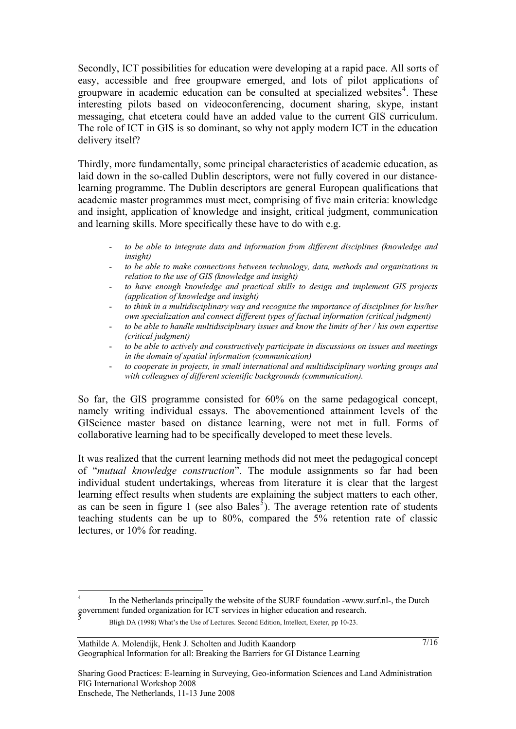Secondly, ICT possibilities for education were developing at a rapid pace. All sorts of easy, accessible and free groupware emerged, and lots of pilot applications of groupware in academic education can be consulted at specialized websites<sup>[4](#page-6-0)</sup>. These interesting pilots based on videoconferencing, document sharing, skype, instant messaging, chat etcetera could have an added value to the current GIS curriculum. The role of ICT in GIS is so dominant, so why not apply modern ICT in the education delivery itself?

Thirdly, more fundamentally, some principal characteristics of academic education, as laid down in the so-called Dublin descriptors, were not fully covered in our distancelearning programme. The Dublin descriptors are general European qualifications that academic master programmes must meet, comprising of five main criteria: knowledge and insight, application of knowledge and insight, critical judgment, communication and learning skills. More specifically these have to do with e.g.

- *to be able to integrate data and information from different disciplines (knowledge and insight)*
- to be able to make connections between technology, data, methods and organizations in *relation to the use of GIS (knowledge and insight)*
- to have enough knowledge and practical skills to design and implement GIS projects *(application of knowledge and insight)*
- *to think in a multidisciplinary way and recognize the importance of disciplines for his/her own specialization and connect different types of factual information (critical judgment)*
- *to be able to handle multidisciplinary issues and know the limits of her / his own expertise (critical judgment)*
- *to be able to actively and constructively participate in discussions on issues and meetings in the domain of spatial information (communication)*
- *to cooperate in projects, in small international and multidisciplinary working groups and with colleagues of different scientific backgrounds (communication).*

So far, the GIS programme consisted for 60% on the same pedagogical concept, namely writing individual essays. The abovementioned attainment levels of the GIScience master based on distance learning, were not met in full. Forms of collaborative learning had to be specifically developed to meet these levels.

It was realized that the current learning methods did not meet the pedagogical concept of "*mutual knowledge construction*". The module assignments so far had been individual student undertakings, whereas from literature it is clear that the largest learning effect results when students are explaining the subject matters to each other, as can be seen in figure 1 (see also Bales<sup>[5](#page-6-1)</sup>). The average retention rate of students teaching students can be up to 80%, compared the 5% retention rate of classic lectures, or 10% for reading.

1

<span id="page-6-1"></span><span id="page-6-0"></span><sup>4</sup> In the Netherlands principally the website of the SURF foundation -www.surf.nl-, the Dutch government funded organization for ICT services in higher education and research.<br>
5

Bligh DA (1998) What's the Use of Lectures. Second Edition, Intellect, Exeter, pp 10-23.

Mathilde A. Molendijk, Henk J. Scholten and Judith Kaandorp Geographical Information for all: Breaking the Barriers for GI Distance Learning

Sharing Good Practices: E-learning in Surveying, Geo-information Sciences and Land Administration FIG International Workshop 2008 Enschede, The Netherlands, 11-13 June 2008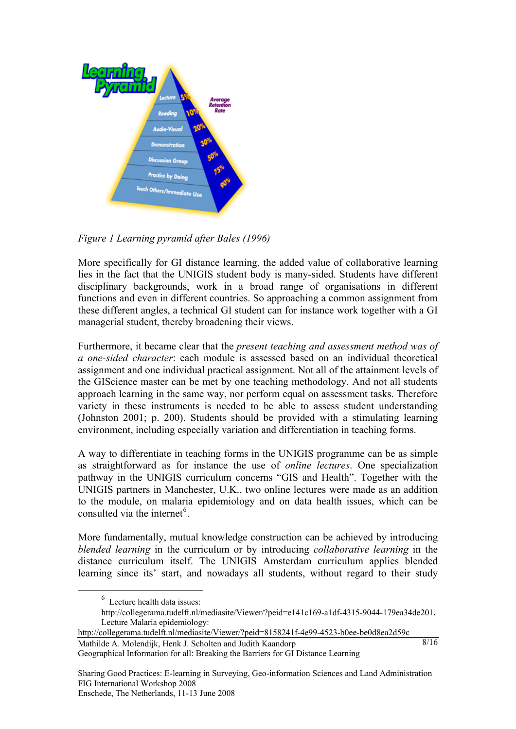

*Figure 1 Learning pyramid after Bales (1996)*

More specifically for GI distance learning, the added value of collaborative learning lies in the fact that the UNIGIS student body is many-sided. Students have different disciplinary backgrounds, work in a broad range of organisations in different functions and even in different countries. So approaching a common assignment from these different angles, a technical GI student can for instance work together with a GI managerial student, thereby broadening their views.

Furthermore, it became clear that the *present teaching and assessment method was of a one-sided character*: each module is assessed based on an individual theoretical assignment and one individual practical assignment. Not all of the attainment levels of the GIScience master can be met by one teaching methodology. And not all students approach learning in the same way, nor perform equal on assessment tasks. Therefore variety in these instruments is needed to be able to assess student understanding (Johnston 2001; p. 200). Students should be provided with a stimulating learning environment, including especially variation and differentiation in teaching forms.

A way to differentiate in teaching forms in the UNIGIS programme can be as simple as straightforward as for instance the use of *online lectures*. One specialization pathway in the UNIGIS curriculum concerns "GIS and Health". Together with the UNIGIS partners in Manchester, U.K., two online lectures were made as an addition to the module, on malaria epidemiology and on data health issues, which can be consulted via the internet<sup>[6](#page-7-0)</sup>.

More fundamentally, mutual knowledge construction can be achieved by introducing *blended learning* in the curriculum or by introducing *collaborative learning* in the distance curriculum itself. The UNIGIS Amsterdam curriculum applies blended learning since its' start, and nowadays all students, without regard to their study

 $8/16$ 

Mathilde A. Molendijk, Henk J. Scholten and Judith Kaandorp Geographical Information for all: Breaking the Barriers for GI Distance Learning <http://collegerama.tudelft.nl/mediasite/Viewer/?peid=8158241f-4e99-4523-b0ee-be0d8ea2d59c>

<span id="page-7-0"></span> <sup>6</sup> Lecture health data issues:

<http://collegerama.tudelft.nl/mediasite/Viewer/?peid=e141c169-a1df-4315-9044-179ea34de201>**.**  Lecture Malaria epidemiology: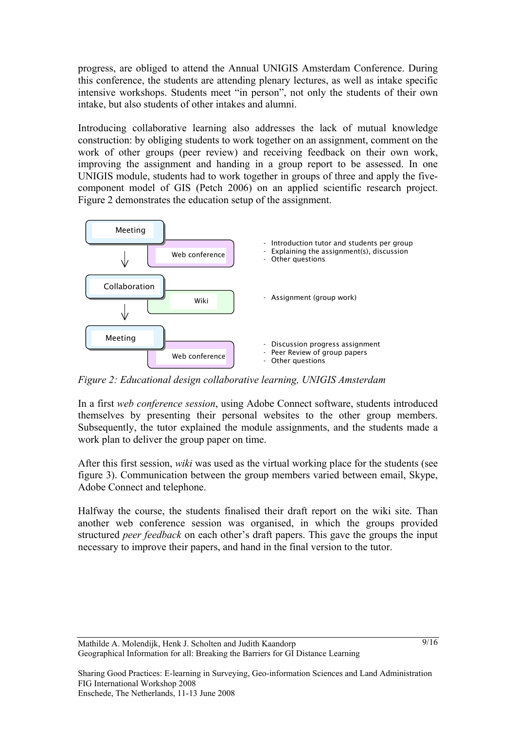progress, are obliged to attend the Annual UNIGIS Amsterdam Conference. During this conference, the students are attending plenary lectures, as well as intake specific intensive workshops. Students meet "in person", not only the students of their own intake, but also students of other intakes and alumni.

Introducing collaborative learning also addresses the lack of mutual knowledge construction: by obliging students to work together on an assignment, comment on the work of other groups (peer review) and receiving feedback on their own work, improving the assignment and handing in a group report to be assessed. In one UNIGIS module, students had to work together in groups of three and apply the fivecomponent model of GIS (Petch 2006) on an applied scientific research project. Figure 2 demonstrates the education setup of the assignment.



*Figure 2: Educational design collaborative learning, UNIGIS Amsterdam*

In a first *web conference session*, using Adobe Connect software, students introduced themselves by presenting their personal websites to the other group members. Subsequently, the tutor explained the module assignments, and the students made a work plan to deliver the group paper on time.

After this first session, *wiki* was used as the virtual working place for the students (see figure 3). Communication between the group members varied between email, Skype, Adobe Connect and telephone.

Halfway the course, the students finalised their draft report on the wiki site. Than another web conference session was organised, in which the groups provided structured *peer feedback* on each other's draft papers. This gave the groups the input necessary to improve their papers, and hand in the final version to the tutor.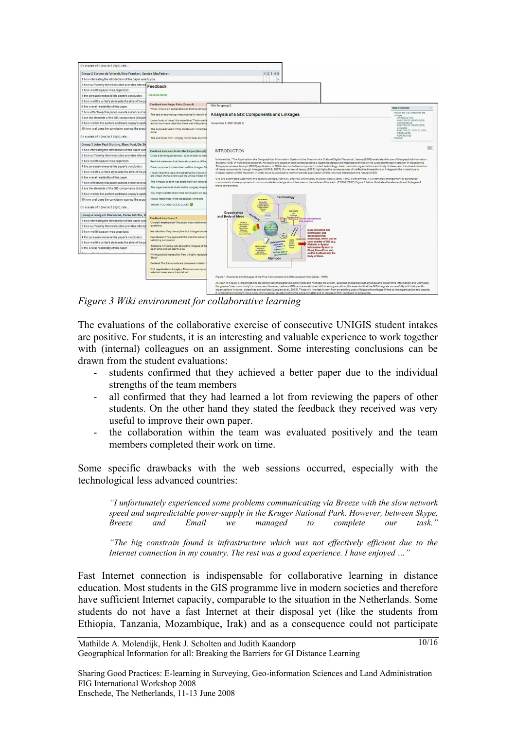

*Figure 3 Wiki environment for collaborative learning*

The evaluations of the collaborative exercise of consecutive UNIGIS student intakes are positive. For students, it is an interesting and valuable experience to work together with (internal) colleagues on an assignment. Some interesting conclusions can be drawn from the student evaluations:

- students confirmed that they achieved a better paper due to the individual strengths of the team members
- all confirmed that they had learned a lot from reviewing the papers of other students. On the other hand they stated the feedback they received was very useful to improve their own paper.
- the collaboration within the team was evaluated positively and the team members completed their work on time.

Some specific drawbacks with the web sessions occurred, especially with the technological less advanced countries:

*"I unfortunately experienced some problems communicating via Breeze with the slow network speed and unpredictable power-supply in the Kruger National Park. However, between Skype, Breeze and Email we managed to complete our task."* 

*"The big constrain found is infrastructure which was not effectively efficient due to the Internet connection in my country. The rest was a good experience. I have enjoyed …"* 

Fast Internet connection is indispensable for collaborative learning in distance education. Most students in the GIS programme live in modern societies and therefore have sufficient Internet capacity, comparable to the situation in the Netherlands. Some students do not have a fast Internet at their disposal yet (like the students from Ethiopia, Tanzania, Mozambique, Irak) and as a consequence could not participate

Sharing Good Practices: E-learning in Surveying, Geo-information Sciences and Land Administration FIG International Workshop 2008 Enschede, The Netherlands, 11-13 June 2008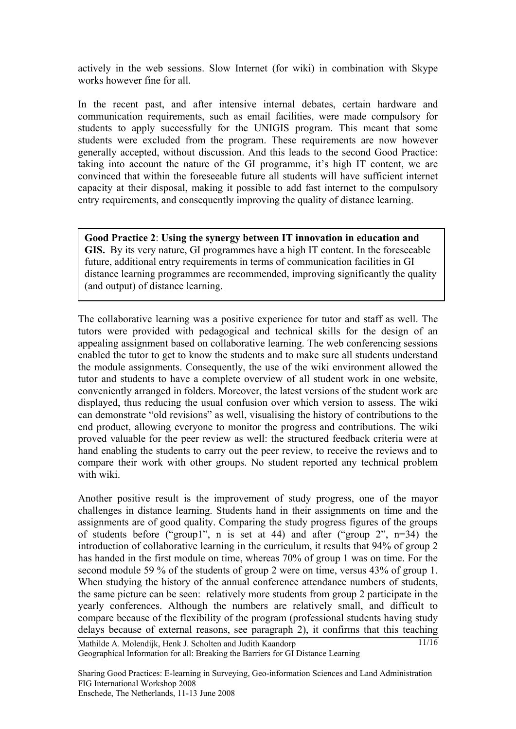actively in the web sessions. Slow Internet (for wiki) in combination with Skype works however fine for all.

In the recent past, and after intensive internal debates, certain hardware and communication requirements, such as email facilities, were made compulsory for students to apply successfully for the UNIGIS program. This meant that some students were excluded from the program. These requirements are now however generally accepted, without discussion. And this leads to the second Good Practice: taking into account the nature of the GI programme, it's high IT content, we are convinced that within the foreseeable future all students will have sufficient internet capacity at their disposal, making it possible to add fast internet to the compulsory entry requirements, and consequently improving the quality of distance learning.

**Good Practice 2**: **Using the synergy between IT innovation in education and GIS.** By its very nature, GI programmes have a high IT content. In the foreseeable future, additional entry requirements in terms of communication facilities in GI distance learning programmes are recommended, improving significantly the quality (and output) of distance learning.

The collaborative learning was a positive experience for tutor and staff as well. The tutors were provided with pedagogical and technical skills for the design of an appealing assignment based on collaborative learning. The web conferencing sessions enabled the tutor to get to know the students and to make sure all students understand the module assignments. Consequently, the use of the wiki environment allowed the tutor and students to have a complete overview of all student work in one website, conveniently arranged in folders. Moreover, the latest versions of the student work are displayed, thus reducing the usual confusion over which version to assess. The wiki can demonstrate "old revisions" as well, visualising the history of contributions to the end product, allowing everyone to monitor the progress and contributions. The wiki proved valuable for the peer review as well: the structured feedback criteria were at hand enabling the students to carry out the peer review, to receive the reviews and to compare their work with other groups. No student reported any technical problem with wiki.

Another positive result is the improvement of study progress, one of the mayor challenges in distance learning. Students hand in their assignments on time and the assignments are of good quality. Comparing the study progress figures of the groups of students before ("group1", n is set at 44) and after ("group 2", n=34) the introduction of collaborative learning in the curriculum, it results that 94% of group 2 has handed in the first module on time, whereas 70% of group 1 was on time. For the second module 59 % of the students of group 2 were on time, versus 43% of group 1. When studying the history of the annual conference attendance numbers of students, the same picture can be seen: relatively more students from group 2 participate in the yearly conferences. Although the numbers are relatively small, and difficult to compare because of the flexibility of the program (professional students having study delays because of external reasons, see paragraph 2), it confirms that this teaching 11/16

Mathilde A. Molendijk, Henk J. Scholten and Judith Kaandorp Geographical Information for all: Breaking the Barriers for GI Distance Learning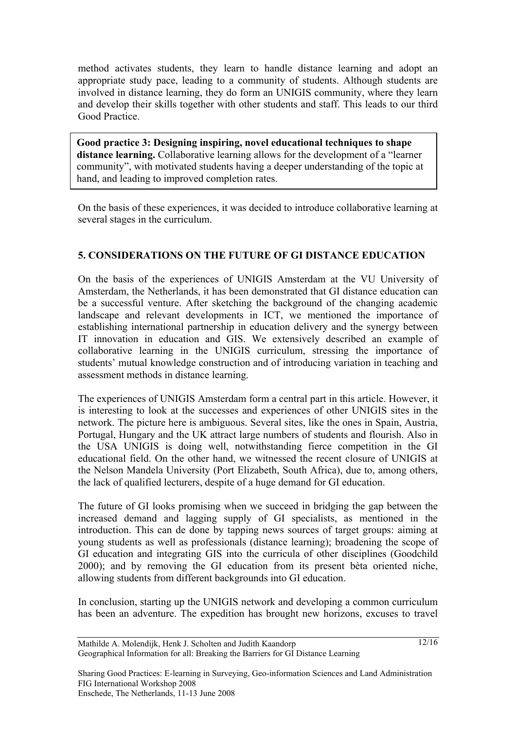method activates students, they learn to handle distance learning and adopt an appropriate study pace, leading to a community of students. Although students are involved in distance learning, they do form an UNIGIS community, where they learn and develop their skills together with other students and staff. This leads to our third Good Practice.

**Good practice 3: Designing inspiring, novel educational techniques to shape distance learning.** Collaborative learning allows for the development of a "learner community", with motivated students having a deeper understanding of the topic at hand, and leading to improved completion rates.

On the basis of these experiences, it was decided to introduce collaborative learning at several stages in the curriculum.

## **5. CONSIDERATIONS ON THE FUTURE OF GI DISTANCE EDUCATION**

On the basis of the experiences of UNIGIS Amsterdam at the VU University of Amsterdam, the Netherlands, it has been demonstrated that GI distance education can be a successful venture. After sketching the background of the changing academic landscape and relevant developments in ICT, we mentioned the importance of establishing international partnership in education delivery and the synergy between IT innovation in education and GIS. We extensively described an example of collaborative learning in the UNIGIS curriculum, stressing the importance of students' mutual knowledge construction and of introducing variation in teaching and assessment methods in distance learning.

The experiences of UNIGIS Amsterdam form a central part in this article. However, it is interesting to look at the successes and experiences of other UNIGIS sites in the network. The picture here is ambiguous. Several sites, like the ones in Spain, Austria, Portugal, Hungary and the UK attract large numbers of students and flourish. Also in the USA UNIGIS is doing well, notwithstanding fierce competition in the GI educational field. On the other hand, we witnessed the recent closure of UNIGIS at the Nelson Mandela University (Port Elizabeth, South Africa), due to, among others, the lack of qualified lecturers, despite of a huge demand for GI education.

The future of GI looks promising when we succeed in bridging the gap between the increased demand and lagging supply of GI specialists, as mentioned in the introduction. This can de done by tapping news sources of target groups: aiming at young students as well as professionals (distance learning); broadening the scope of GI education and integrating GIS into the curricula of other disciplines (Goodchild 2000); and by removing the GI education from its present bèta oriented niche, allowing students from different backgrounds into GI education.

In conclusion, starting up the UNIGIS network and developing a common curriculum has been an adventure. The expedition has brought new horizons, excuses to travel

 $12/16$ 

Sharing Good Practices: E-learning in Surveying, Geo-information Sciences and Land Administration FIG International Workshop 2008 Enschede, The Netherlands, 11-13 June 2008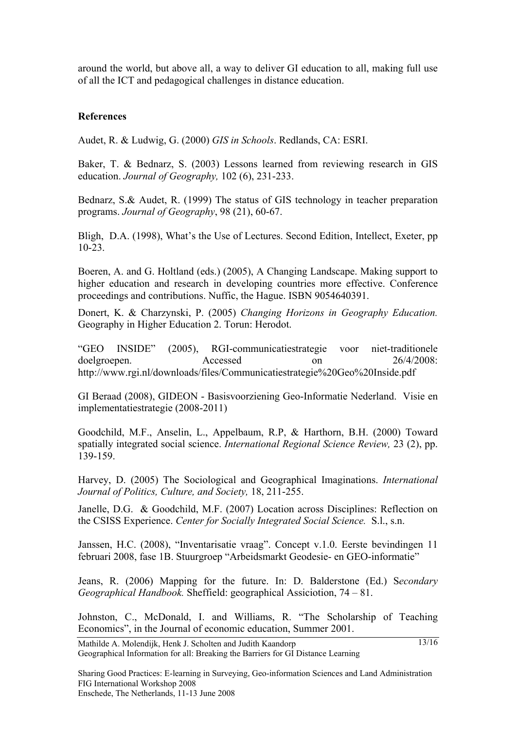around the world, but above all, a way to deliver GI education to all, making full use of all the ICT and pedagogical challenges in distance education.

#### **References**

Audet, R. & Ludwig, G. (2000) *GIS in Schools*. Redlands, CA: ESRI.

Baker, T. & Bednarz, S. (2003) Lessons learned from reviewing research in GIS education. *Journal of Geography,* 102 (6), 231-233.

Bednarz, S.& Audet, R. (1999) The status of GIS technology in teacher preparation programs. *Journal of Geography*, 98 (21), 60-67.

Bligh, D.A. (1998), What's the Use of Lectures. Second Edition, Intellect, Exeter, pp 10-23.

Boeren, A. and G. Holtland (eds.) (2005), A Changing Landscape. Making support to higher education and research in developing countries more effective. Conference proceedings and contributions. Nuffic, the Hague. ISBN 9054640391.

Donert, K. & Charzynski, P. (2005) *Changing Horizons in Geography Education.*  Geography in Higher Education 2. Torun: Herodot.

"GEO INSIDE" (2005), RGI-communicatiestrategie voor niet-traditionele doelgroepen. Accessed on 26/4/2008: http://www.rgi.nl/downloads/files/Communicatiestrategie%20Geo%20Inside.pdf

GI Beraad (2008), GIDEON - Basisvoorziening Geo-Informatie Nederland. Visie en implementatiestrategie (2008-2011)

Goodchild, M.F., Anselin, L., Appelbaum, R.P, & Harthorn, B.H. (2000) Toward spatially integrated social science. *International Regional Science Review,* 23 (2), pp. 139-159.

Harvey, D. (2005) The Sociological and Geographical Imaginations. *International Journal of Politics, Culture, and Society,* 18, 211-255.

Janelle, D.G. & Goodchild, M.F. (2007) Location across Disciplines: Reflection on the CSISS Experience. *Center for Socially Integrated Social Science.* S.l., s.n.

Janssen, H.C. (2008), "Inventarisatie vraag". Concept v.1.0. Eerste bevindingen 11 februari 2008, fase 1B. Stuurgroep "Arbeidsmarkt Geodesie- en GEO-informatie"

Jeans, R. (2006) Mapping for the future. In: D. Balderstone (Ed.) S*econdary Geographical Handbook.* Sheffield: geographical Assiciotion, 74 – 81.

Johnston, C., McDonald, I. and Williams, R. "The Scholarship of Teaching Economics", in the Journal of economic education, Summer 2001.

Mathilde A. Molendijk, Henk J. Scholten and Judith Kaandorp Geographical Information for all: Breaking the Barriers for GI Distance Learning 13/16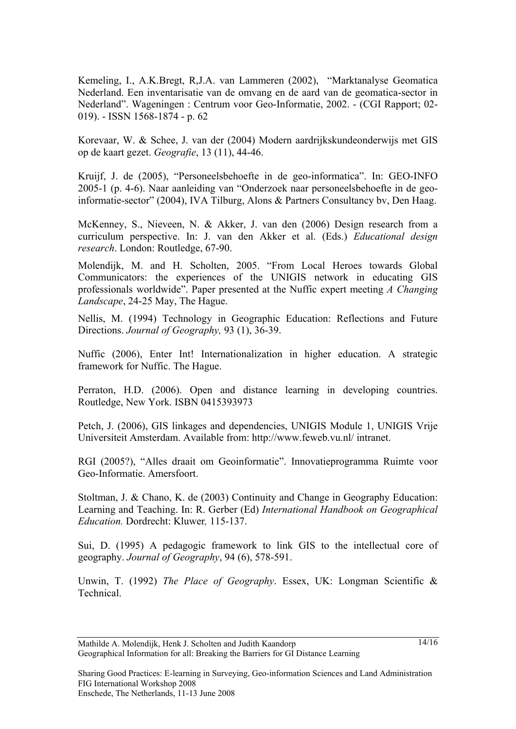Kemeling, I., A.K.Bregt, R,J.A. van Lammeren (2002), "Marktanalyse Geomatica Nederland. Een inventarisatie van de omvang en de aard van de geomatica-sector in Nederland". Wageningen : Centrum voor Geo-Informatie, 2002. - (CGI Rapport; 02- 019). - ISSN 1568-1874 - p. 62

Korevaar, W. & Schee, J. van der (2004) Modern aardrijkskundeonderwijs met GIS op de kaart gezet. *Geografie*, 13 (11), 44-46.

Kruijf, J. de (2005), "Personeelsbehoefte in de geo-informatica". In: GEO-INFO 2005-1 (p. 4-6). Naar aanleiding van "Onderzoek naar personeelsbehoefte in de geoinformatie-sector" (2004), IVA Tilburg, Alons & Partners Consultancy bv, Den Haag.

McKenney, S., Nieveen, N. & Akker, J. van den (2006) Design research from a curriculum perspective. In: J. van den Akker et al. (Eds.) *Educational design research*. London: Routledge, 67-90.

Molendijk, M. and H. Scholten, 2005. "From Local Heroes towards Global Communicators: the experiences of the UNIGIS network in educating GIS professionals worldwide". Paper presented at the Nuffic expert meeting *A Changing Landscape*, 24-25 May, The Hague.

Nellis, M. (1994) Technology in Geographic Education: Reflections and Future Directions. *Journal of Geography,* 93 (1), 36-39.

Nuffic (2006), Enter Int! Internationalization in higher education. A strategic framework for Nuffic. The Hague.

Perraton, H.D. (2006). Open and distance learning in developing countries. Routledge, New York. ISBN 0415393973

Petch, J. (2006), GIS linkages and dependencies, UNIGIS Module 1, UNIGIS Vrije Universiteit Amsterdam. Available from: http://www.feweb.vu.nl/ intranet.

RGI (2005?), "Alles draait om Geoinformatie". Innovatieprogramma Ruimte voor Geo-Informatie. Amersfoort.

Stoltman, J. & Chano, K. de (2003) Continuity and Change in Geography Education: Learning and Teaching. In: R. Gerber (Ed) *International Handbook on Geographical Education.* Dordrecht: Kluwer*,* 115-137.

Sui, D. (1995) A pedagogic framework to link GIS to the intellectual core of geography. *Journal of Geography*, 94 (6), 578-591.

Unwin, T. (1992) *The Place of Geography*. Essex, UK: Longman Scientific & Technical.

Mathilde A. Molendijk, Henk J. Scholten and Judith Kaandorp Geographical Information for all: Breaking the Barriers for GI Distance Learning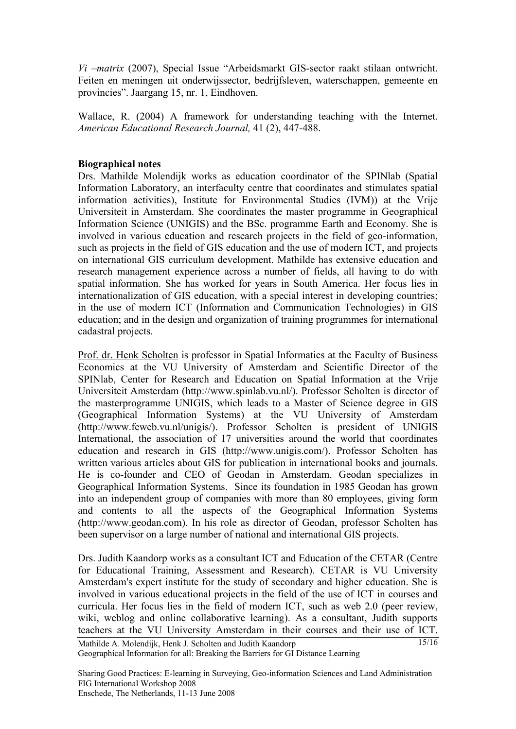*Vi –matrix* (2007), Special Issue "Arbeidsmarkt GIS-sector raakt stilaan ontwricht. Feiten en meningen uit onderwijssector, bedrijfsleven, waterschappen, gemeente en provincies". Jaargang 15, nr. 1, Eindhoven.

Wallace, R. (2004) A framework for understanding teaching with the Internet. *American Educational Research Journal,* 41 (2), 447-488.

### **Biographical notes**

Drs. Mathilde Molendijk works as education coordinator of the SPINlab (Spatial Information Laboratory, an interfaculty centre that coordinates and stimulates spatial information activities), Institute for Environmental Studies (IVM)) at the Vrije Universiteit in Amsterdam. She coordinates the master programme in Geographical Information Science (UNIGIS) and the BSc. programme Earth and Economy. She is involved in various education and research projects in the field of geo-information, such as projects in the field of GIS education and the use of modern ICT, and projects on international GIS curriculum development. Mathilde has extensive education and research management experience across a number of fields, all having to do with spatial information. She has worked for years in South America. Her focus lies in internationalization of GIS education, with a special interest in developing countries; in the use of modern ICT (Information and Communication Technologies) in GIS education; and in the design and organization of training programmes for international cadastral projects.

Prof. dr. Henk Scholten is professor in Spatial Informatics at the Faculty of Business Economics at the VU University of Amsterdam and Scientific Director of the SPINlab, Center for Research and Education on Spatial Information at the Vrije Universiteit Amsterdam (http://www.spinlab.vu.nl/). Professor Scholten is director of the masterprogramme UNIGIS, which leads to a Master of Science degree in GIS (Geographical Information Systems) at the VU University of Amsterdam (http://www.feweb.vu.nl/unigis/). Professor Scholten is president of UNIGIS International, the association of 17 universities around the world that coordinates education and research in GIS (http://www.unigis.com/). Professor Scholten has written various articles about GIS for publication in international books and journals. He is co-founder and CEO of Geodan in Amsterdam. Geodan specializes in Geographical Information Systems. Since its foundation in 1985 Geodan has grown into an independent group of companies with more than 80 employees, giving form and contents to all the aspects of the Geographical Information Systems (http://www.geodan.com). In his role as director of Geodan, professor Scholten has been supervisor on a large number of national and international GIS projects.

Mathilde A. Molendijk, Henk J. Scholten and Judith Kaandorp Geographical Information for all: Breaking the Barriers for GI Distance Learning 15/16 Drs. Judith Kaandorp works as a consultant ICT and Education of the CETAR (Centre for Educational Training, Assessment and Research). CETAR is VU University Amsterdam's expert institute for the study of secondary and higher education. She is involved in various educational projects in the field of the use of ICT in courses and curricula. Her focus lies in the field of modern ICT, such as web 2.0 (peer review, wiki, weblog and online collaborative learning). As a consultant, Judith supports teachers at the VU University Amsterdam in their courses and their use of ICT.